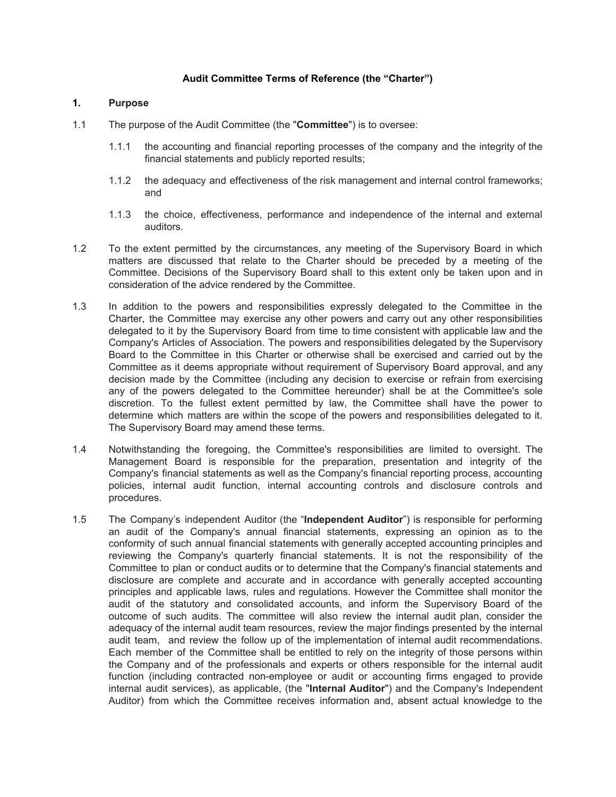# **Audit Committee Terms of Reference (the "Charter")**

# **1. Purpose**

- 1.1 The purpose of the Audit Committee (the "**Committee**") is to oversee:
	- 1.1.1 the accounting and financial reporting processes of the company and the integrity of the financial statements and publicly reported results;
	- 1.1.2 the adequacy and effectiveness of the risk management and internal control frameworks; and
	- 1.1.3 the choice, effectiveness, performance and independence of the internal and external auditors.
- 1.2 To the extent permitted by the circumstances, any meeting of the Supervisory Board in which matters are discussed that relate to the Charter should be preceded by a meeting of the Committee. Decisions of the Supervisory Board shall to this extent only be taken upon and in consideration of the advice rendered by the Committee.
- 1.3 In addition to the powers and responsibilities expressly delegated to the Committee in the Charter, the Committee may exercise any other powers and carry out any other responsibilities delegated to it by the Supervisory Board from time to time consistent with applicable law and the Company's Articles of Association. The powers and responsibilities delegated by the Supervisory Board to the Committee in this Charter or otherwise shall be exercised and carried out by the Committee as it deems appropriate without requirement of Supervisory Board approval, and any decision made by the Committee (including any decision to exercise or refrain from exercising any of the powers delegated to the Committee hereunder) shall be at the Committee's sole discretion. To the fullest extent permitted by law, the Committee shall have the power to determine which matters are within the scope of the powers and responsibilities delegated to it. The Supervisory Board may amend these terms.
- 1.4 Notwithstanding the foregoing, the Committee's responsibilities are limited to oversight. The Management Board is responsible for the preparation, presentation and integrity of the Company's financial statements as well as the Company's financial reporting process, accounting policies, internal audit function, internal accounting controls and disclosure controls and procedures.
- 1.5 The Company's independent Auditor (the "**Independent Auditor**") is responsible for performing an audit of the Company's annual financial statements, expressing an opinion as to the conformity of such annual financial statements with generally accepted accounting principles and reviewing the Company's quarterly financial statements. It is not the responsibility of the Committee to plan or conduct audits or to determine that the Company's financial statements and disclosure are complete and accurate and in accordance with generally accepted accounting principles and applicable laws, rules and regulations. However the Committee shall monitor the audit of the statutory and consolidated accounts, and inform the Supervisory Board of the outcome of such audits. The committee will also review the internal audit plan, consider the adequacy of the internal audit team resources, review the major findings presented by the internal audit team, and review the follow up of the implementation of internal audit recommendations. Each member of the Committee shall be entitled to rely on the integrity of those persons within the Company and of the professionals and experts or others responsible for the internal audit function (including contracted non-employee or audit or accounting firms engaged to provide internal audit services), as applicable, (the "**Internal Auditor**") and the Company's Independent Auditor) from which the Committee receives information and, absent actual knowledge to the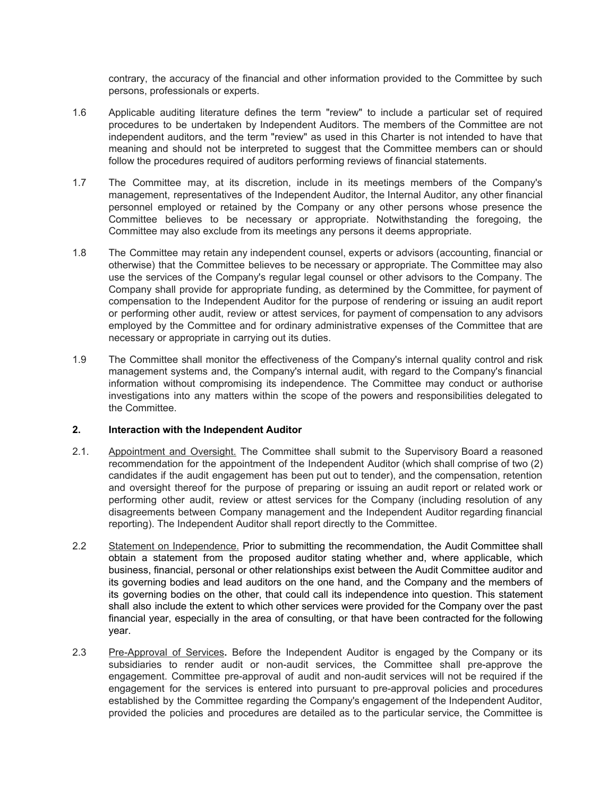contrary, the accuracy of the financial and other information provided to the Committee by such persons, professionals or experts.

- 1.6 Applicable auditing literature defines the term "review" to include a particular set of required procedures to be undertaken by Independent Auditors. The members of the Committee are not independent auditors, and the term "review" as used in this Charter is not intended to have that meaning and should not be interpreted to suggest that the Committee members can or should follow the procedures required of auditors performing reviews of financial statements.
- 1.7 The Committee may, at its discretion, include in its meetings members of the Company's management, representatives of the Independent Auditor, the Internal Auditor, any other financial personnel employed or retained by the Company or any other persons whose presence the Committee believes to be necessary or appropriate. Notwithstanding the foregoing, the Committee may also exclude from its meetings any persons it deems appropriate.
- 1.8 The Committee may retain any independent counsel, experts or advisors (accounting, financial or otherwise) that the Committee believes to be necessary or appropriate. The Committee may also use the services of the Company's regular legal counsel or other advisors to the Company. The Company shall provide for appropriate funding, as determined by the Committee, for payment of compensation to the Independent Auditor for the purpose of rendering or issuing an audit report or performing other audit, review or attest services, for payment of compensation to any advisors employed by the Committee and for ordinary administrative expenses of the Committee that are necessary or appropriate in carrying out its duties.
- 1.9 The Committee shall monitor the effectiveness of the Company's internal quality control and risk management systems and, the Company's internal audit, with regard to the Company's financial information without compromising its independence. The Committee may conduct or authorise investigations into any matters within the scope of the powers and responsibilities delegated to the Committee.

# **2. Interaction with the Independent Auditor**

- 2.1. Appointment and Oversight. The Committee shall submit to the Supervisory Board a reasoned recommendation for the appointment of the Independent Auditor (which shall comprise of two (2) candidates if the audit engagement has been put out to tender), and the compensation, retention and oversight thereof for the purpose of preparing or issuing an audit report or related work or performing other audit, review or attest services for the Company (including resolution of any disagreements between Company management and the Independent Auditor regarding financial reporting). The Independent Auditor shall report directly to the Committee.
- 2.2 Statement on Independence. Prior to submitting the recommendation, the Audit Committee shall obtain a statement from the proposed auditor stating whether and, where applicable, which business, financial, personal or other relationships exist between the Audit Committee auditor and its governing bodies and lead auditors on the one hand, and the Company and the members of its governing bodies on the other, that could call its independence into question. This statement shall also include the extent to which other services were provided for the Company over the past financial year, especially in the area of consulting, or that have been contracted for the following year.
- 2.3 Pre-Approval of Services**.** Before the Independent Auditor is engaged by the Company or its subsidiaries to render audit or non-audit services, the Committee shall pre-approve the engagement. Committee pre-approval of audit and non-audit services will not be required if the engagement for the services is entered into pursuant to pre-approval policies and procedures established by the Committee regarding the Company's engagement of the Independent Auditor, provided the policies and procedures are detailed as to the particular service, the Committee is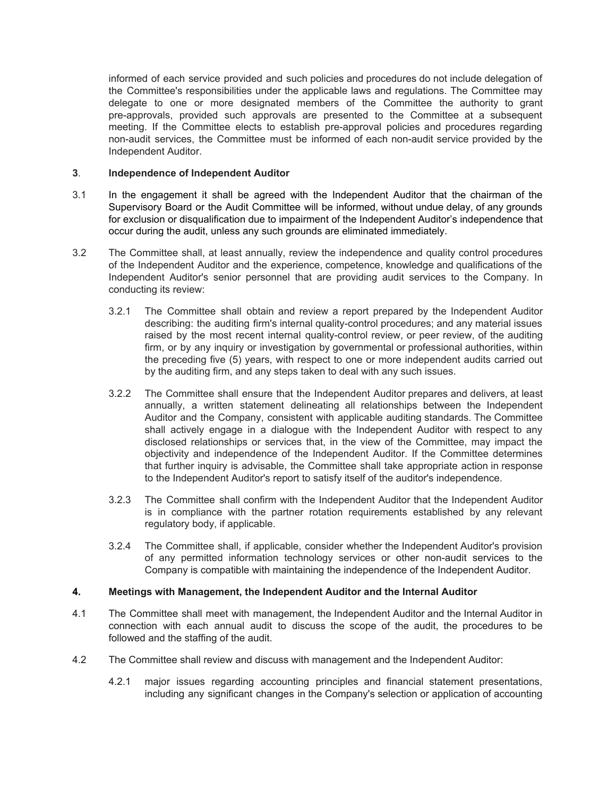informed of each service provided and such policies and procedures do not include delegation of the Committee's responsibilities under the applicable laws and regulations. The Committee may delegate to one or more designated members of the Committee the authority to grant pre-approvals, provided such approvals are presented to the Committee at a subsequent meeting. If the Committee elects to establish pre-approval policies and procedures regarding non-audit services, the Committee must be informed of each non-audit service provided by the Independent Auditor.

## **3**. **Independence of Independent Auditor**

- 3.1 In the engagement it shall be agreed with the Independent Auditor that the chairman of the Supervisory Board or the Audit Committee will be informed, without undue delay, of any grounds for exclusion or disqualification due to impairment of the Independent Auditor's independence that occur during the audit, unless any such grounds are eliminated immediately.
- 3.2 The Committee shall, at least annually, review the independence and quality control procedures of the Independent Auditor and the experience, competence, knowledge and qualifications of the Independent Auditor's senior personnel that are providing audit services to the Company. In conducting its review:
	- 3.2.1 The Committee shall obtain and review a report prepared by the Independent Auditor describing: the auditing firm's internal quality-control procedures; and any material issues raised by the most recent internal quality-control review, or peer review, of the auditing firm, or by any inquiry or investigation by governmental or professional authorities, within the preceding five (5) years, with respect to one or more independent audits carried out by the auditing firm, and any steps taken to deal with any such issues.
	- 3.2.2 The Committee shall ensure that the Independent Auditor prepares and delivers, at least annually, a written statement delineating all relationships between the Independent Auditor and the Company, consistent with applicable auditing standards. The Committee shall actively engage in a dialogue with the Independent Auditor with respect to any disclosed relationships or services that, in the view of the Committee, may impact the objectivity and independence of the Independent Auditor. If the Committee determines that further inquiry is advisable, the Committee shall take appropriate action in response to the Independent Auditor's report to satisfy itself of the auditor's independence.
	- 3.2.3 The Committee shall confirm with the Independent Auditor that the Independent Auditor is in compliance with the partner rotation requirements established by any relevant regulatory body, if applicable.
	- 3.2.4 The Committee shall, if applicable, consider whether the Independent Auditor's provision of any permitted information technology services or other non-audit services to the Company is compatible with maintaining the independence of the Independent Auditor.

#### **4. Meetings with Management, the Independent Auditor and the Internal Auditor**

- 4.1 The Committee shall meet with management, the Independent Auditor and the Internal Auditor in connection with each annual audit to discuss the scope of the audit, the procedures to be followed and the staffing of the audit.
- 4.2 The Committee shall review and discuss with management and the Independent Auditor:
	- 4.2.1 major issues regarding accounting principles and financial statement presentations, including any significant changes in the Company's selection or application of accounting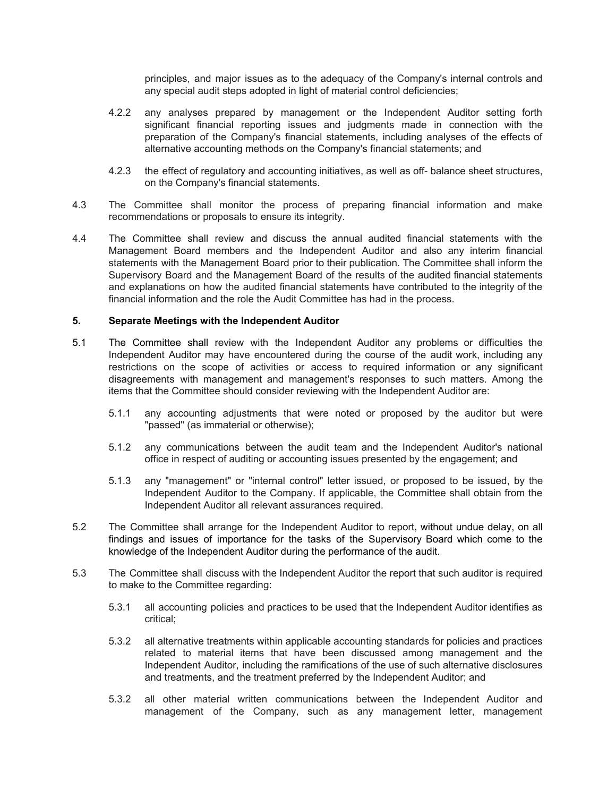principles, and major issues as to the adequacy of the Company's internal controls and any special audit steps adopted in light of material control deficiencies;

- 4.2.2 any analyses prepared by management or the Independent Auditor setting forth significant financial reporting issues and judgments made in connection with the preparation of the Company's financial statements, including analyses of the effects of alternative accounting methods on the Company's financial statements; and
- 4.2.3 the effect of regulatory and accounting initiatives, as well as off- balance sheet structures, on the Company's financial statements.
- 4.3 The Committee shall monitor the process of preparing financial information and make recommendations or proposals to ensure its integrity.
- 4.4 The Committee shall review and discuss the annual audited financial statements with the Management Board members and the Independent Auditor and also any interim financial statements with the Management Board prior to their publication. The Committee shall inform the Supervisory Board and the Management Board of the results of the audited financial statements and explanations on how the audited financial statements have contributed to the integrity of the financial information and the role the Audit Committee has had in the process.

#### **5. Separate Meetings with the Independent Auditor**

- 5.1 The Committee shall review with the Independent Auditor any problems or difficulties the Independent Auditor may have encountered during the course of the audit work, including any restrictions on the scope of activities or access to required information or any significant disagreements with management and management's responses to such matters. Among the items that the Committee should consider reviewing with the Independent Auditor are:
	- 5.1.1 any accounting adjustments that were noted or proposed by the auditor but were "passed" (as immaterial or otherwise);
	- 5.1.2 any communications between the audit team and the Independent Auditor's national office in respect of auditing or accounting issues presented by the engagement; and
	- 5.1.3 any "management" or "internal control" letter issued, or proposed to be issued, by the Independent Auditor to the Company. If applicable, the Committee shall obtain from the Independent Auditor all relevant assurances required.
- 5.2 The Committee shall arrange for the Independent Auditor to report, without undue delay, on all findings and issues of importance for the tasks of the Supervisory Board which come to the knowledge of the Independent Auditor during the performance of the audit.
- 5.3 The Committee shall discuss with the Independent Auditor the report that such auditor is required to make to the Committee regarding:
	- 5.3.1 all accounting policies and practices to be used that the Independent Auditor identifies as critical;
	- 5.3.2 all alternative treatments within applicable accounting standards for policies and practices related to material items that have been discussed among management and the Independent Auditor, including the ramifications of the use of such alternative disclosures and treatments, and the treatment preferred by the Independent Auditor; and
	- 5.3.2 all other material written communications between the Independent Auditor and management of the Company, such as any management letter, management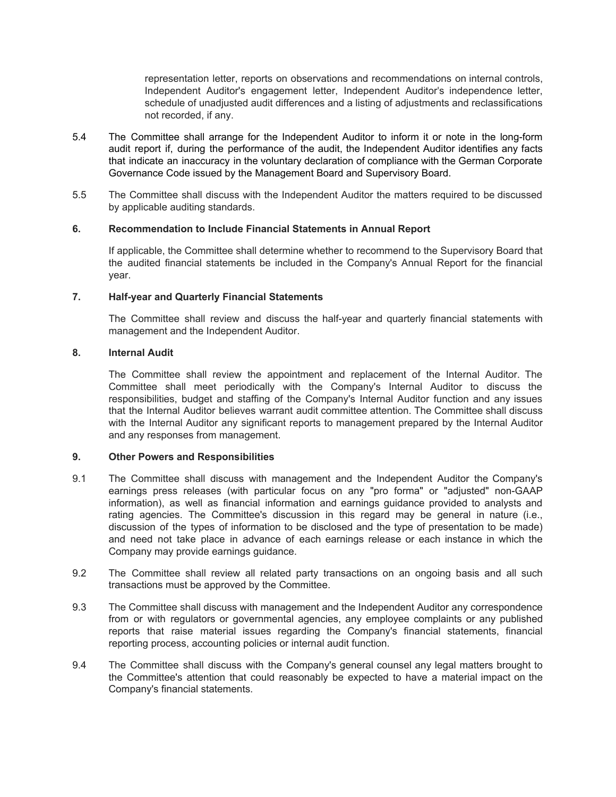representation letter, reports on observations and recommendations on internal controls, Independent Auditor's engagement letter, Independent Auditor's independence letter, schedule of unadjusted audit differences and a listing of adjustments and reclassifications not recorded, if any.

- 5.4 The Committee shall arrange for the Independent Auditor to inform it or note in the long-form audit report if, during the performance of the audit, the Independent Auditor identifies any facts that indicate an inaccuracy in the voluntary declaration of compliance with the German Corporate Governance Code issued by the Management Board and Supervisory Board.
- 5.5 The Committee shall discuss with the Independent Auditor the matters required to be discussed by applicable auditing standards.

# **6. Recommendation to Include Financial Statements in Annual Report**

If applicable, the Committee shall determine whether to recommend to the Supervisory Board that the audited financial statements be included in the Company's Annual Report for the financial year.

#### **7. Half-year and Quarterly Financial Statements**

The Committee shall review and discuss the half-year and quarterly financial statements with management and the Independent Auditor.

#### **8. Internal Audit**

The Committee shall review the appointment and replacement of the Internal Auditor. The Committee shall meet periodically with the Company's Internal Auditor to discuss the responsibilities, budget and staffing of the Company's Internal Auditor function and any issues that the Internal Auditor believes warrant audit committee attention. The Committee shall discuss with the Internal Auditor any significant reports to management prepared by the Internal Auditor and any responses from management.

#### **9. Other Powers and Responsibilities**

- 9.1 The Committee shall discuss with management and the Independent Auditor the Company's earnings press releases (with particular focus on any "pro forma" or "adjusted" non-GAAP information), as well as financial information and earnings guidance provided to analysts and rating agencies. The Committee's discussion in this regard may be general in nature (i.e., discussion of the types of information to be disclosed and the type of presentation to be made) and need not take place in advance of each earnings release or each instance in which the Company may provide earnings guidance.
- 9.2 The Committee shall review all related party transactions on an ongoing basis and all such transactions must be approved by the Committee.
- 9.3 The Committee shall discuss with management and the Independent Auditor any correspondence from or with regulators or governmental agencies, any employee complaints or any published reports that raise material issues regarding the Company's financial statements, financial reporting process, accounting policies or internal audit function.
- 9.4 The Committee shall discuss with the Company's general counsel any legal matters brought to the Committee's attention that could reasonably be expected to have a material impact on the Company's financial statements.